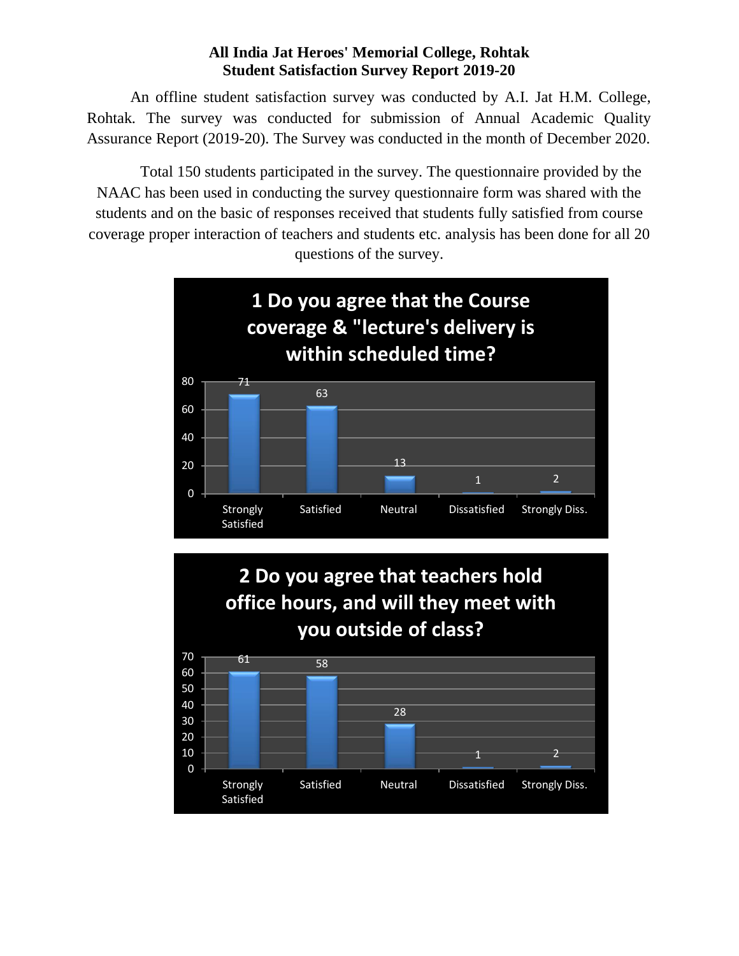#### **All India Jat Heroes' Memorial College, Rohtak Student Satisfaction Survey Report 2019-20**

An offline student satisfaction survey was conducted by A.I. Jat H.M. College, Rohtak. The survey was conducted for submission of Annual Academic Quality Assurance Report (2019-20). The Survey was conducted in the month of December 2020.

Total 150 students participated in the survey. The questionnaire provided by the NAAC has been used in conducting the survey questionnaire form was shared with the students and on the basic of responses received that students fully satisfied from course coverage proper interaction of teachers and students etc. analysis has been done for all 20 questions of the survey.

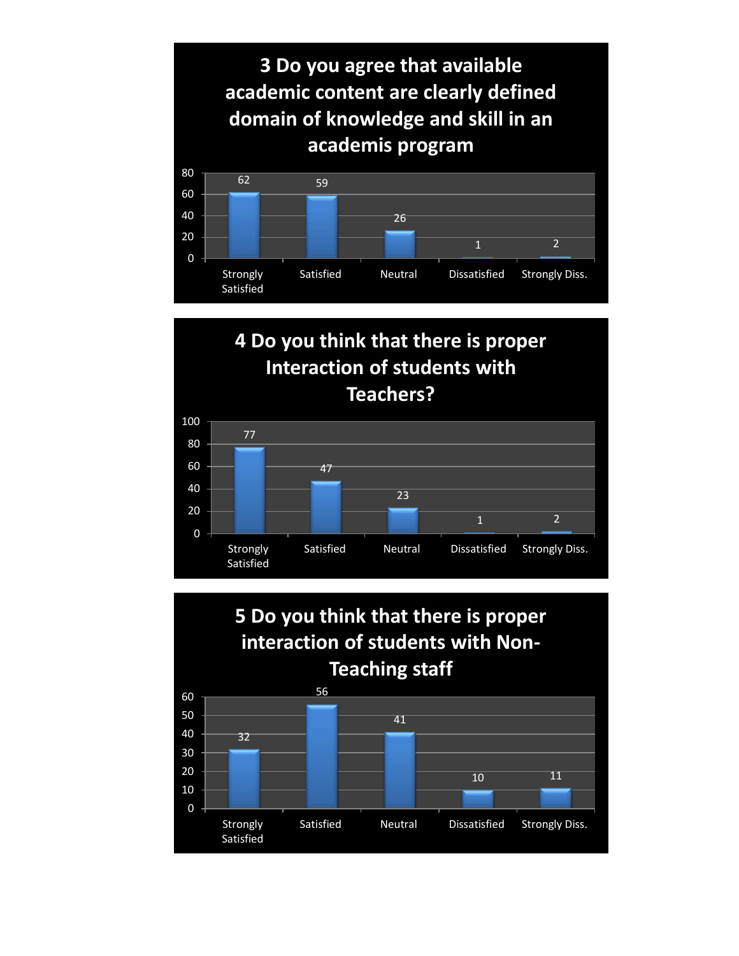

# **4 Do you think that there is proper Interaction of students with Teachers?**



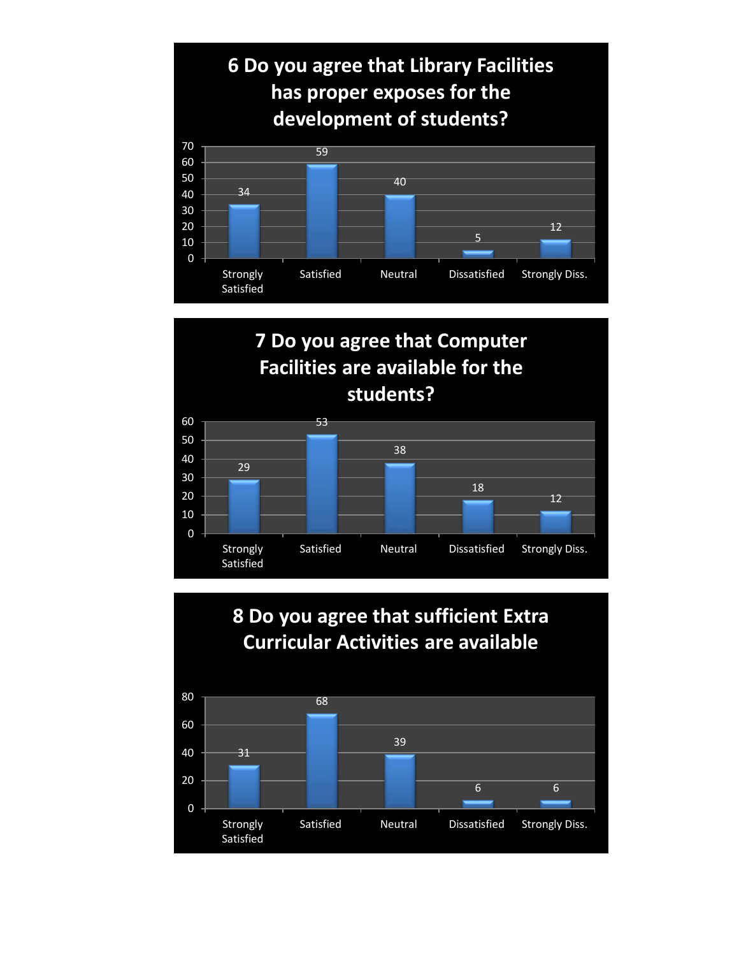

# **7 Do you agree that Computer Facilities are available for the students?**



### **8 Do you agree that sufficient Extra Curricular Activities are available**

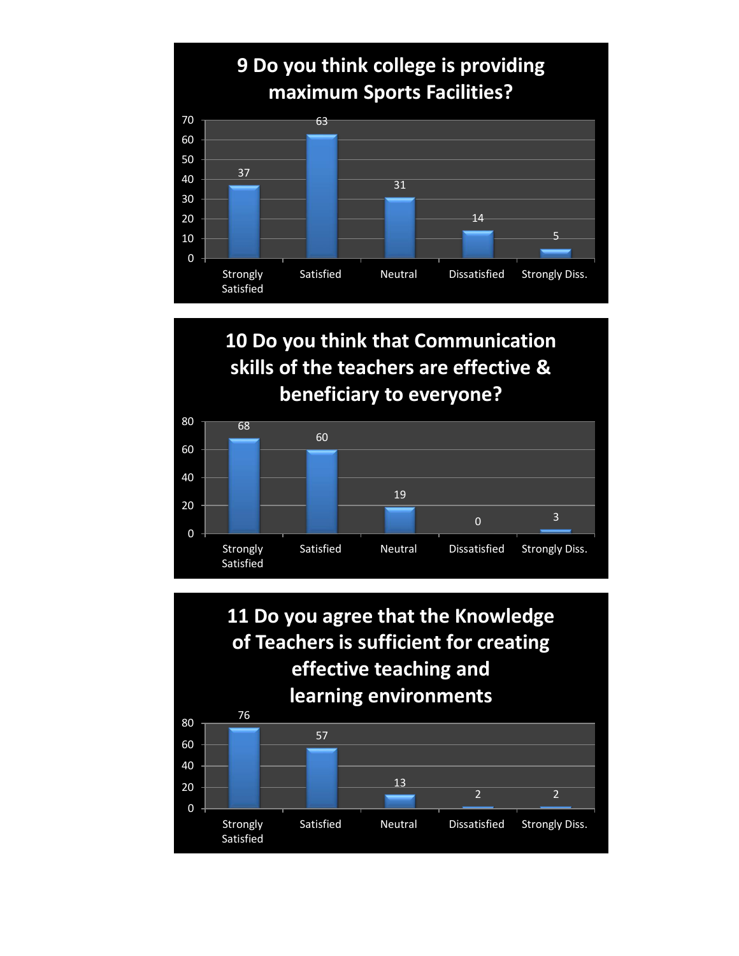

# **10 Do you think that Communication skills of the teachers are effective & beneficiary to everyone?**



 **11 Do you agree that the Knowledge of Teachers is sufficient for creating effective teaching and learning environments**

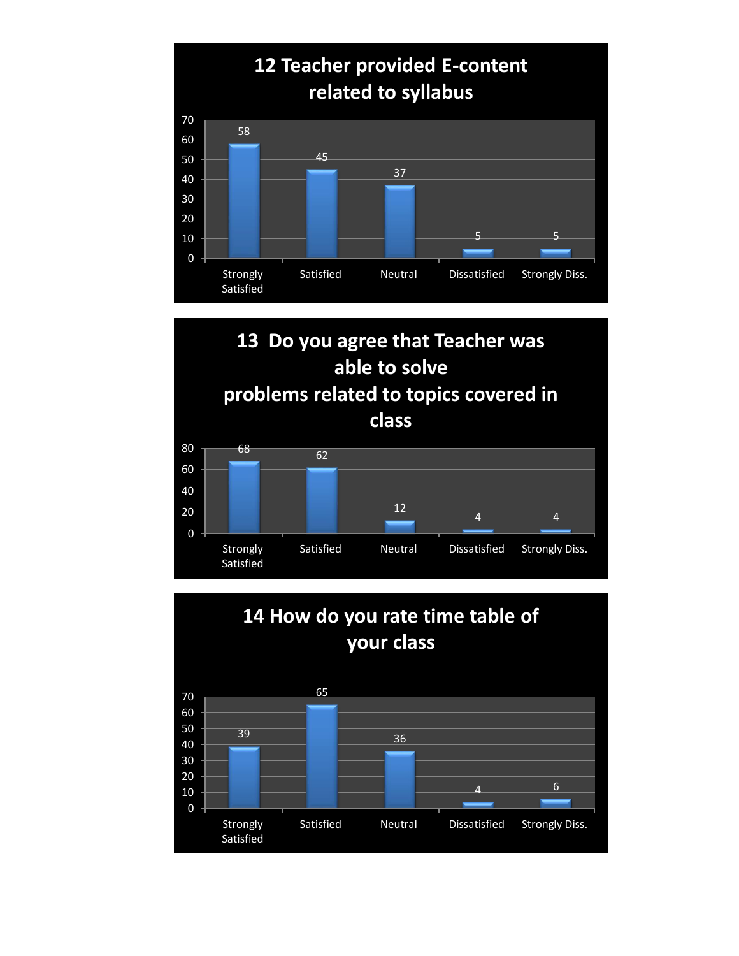



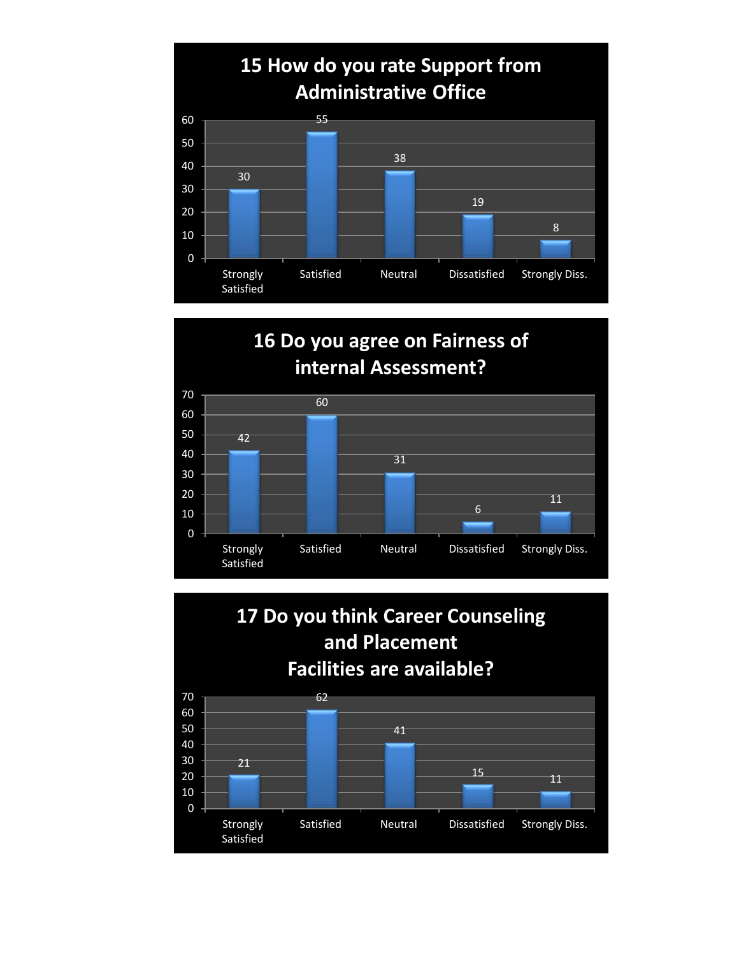

# **16 Do you agree on Fairness of internal Assessment?**



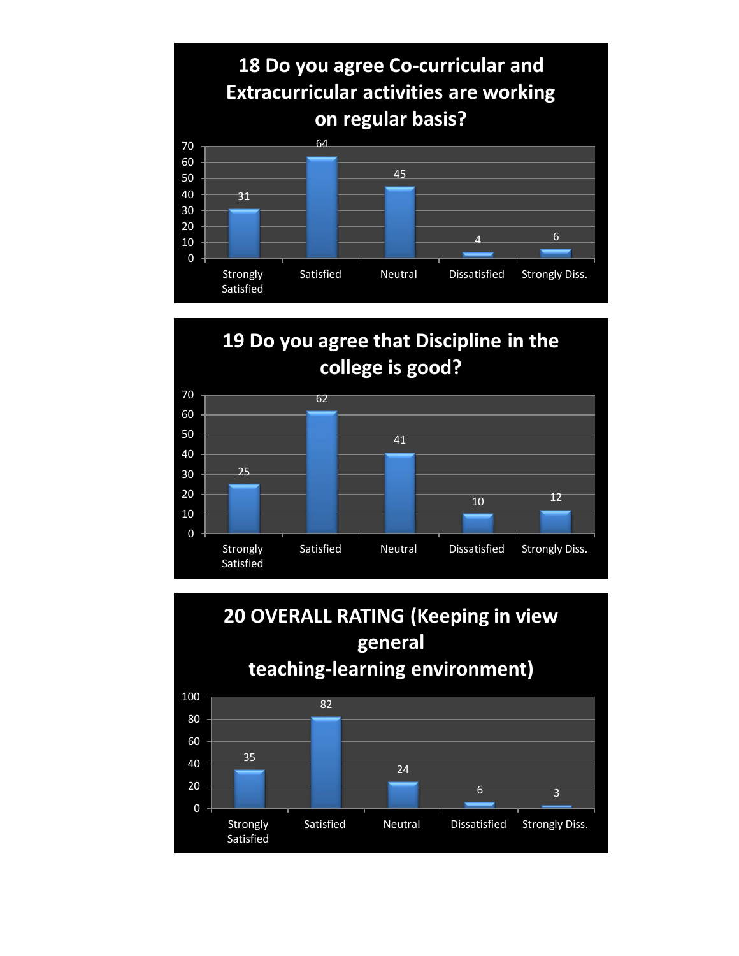

# **19 Do you agree that Discipline in the college is good?**



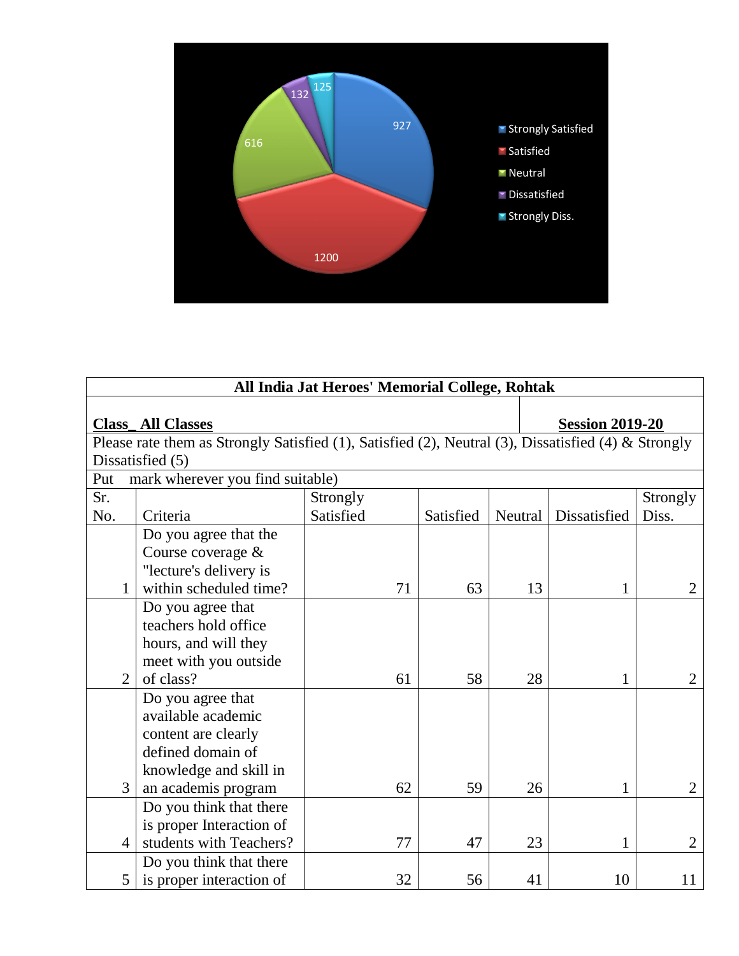

| All India Jat Heroes' Memorial College, Rohtak                                                      |                |                          |           |           |                        |              |                |
|-----------------------------------------------------------------------------------------------------|----------------|--------------------------|-----------|-----------|------------------------|--------------|----------------|
| <b>Class All Classes</b>                                                                            |                |                          |           |           | <b>Session 2019-20</b> |              |                |
| Please rate them as Strongly Satisfied (1), Satisfied (2), Neutral (3), Dissatisfied (4) & Strongly |                |                          |           |           |                        |              |                |
| Dissatisfied (5)                                                                                    |                |                          |           |           |                        |              |                |
| mark wherever you find suitable)<br>Put                                                             |                |                          |           |           |                        |              |                |
| Sr.                                                                                                 |                |                          | Strongly  |           |                        |              | Strongly       |
| No.                                                                                                 |                | Criteria                 | Satisfied | Satisfied | Neutral                | Dissatisfied | Diss.          |
|                                                                                                     |                | Do you agree that the    |           |           |                        |              |                |
|                                                                                                     |                | Course coverage &        |           |           |                        |              |                |
|                                                                                                     |                | "lecture's delivery is   |           |           |                        |              |                |
|                                                                                                     | 1              | within scheduled time?   | 71        | 63        | 13                     | 1            | $\overline{2}$ |
|                                                                                                     |                | Do you agree that        |           |           |                        |              |                |
|                                                                                                     |                | teachers hold office     |           |           |                        |              |                |
|                                                                                                     |                | hours, and will they     |           |           |                        |              |                |
|                                                                                                     |                | meet with you outside    |           |           |                        |              |                |
|                                                                                                     | $\overline{2}$ | of class?                | 61        | 58        | 28                     | 1            | $\overline{2}$ |
|                                                                                                     |                | Do you agree that        |           |           |                        |              |                |
|                                                                                                     |                | available academic       |           |           |                        |              |                |
|                                                                                                     |                | content are clearly      |           |           |                        |              |                |
|                                                                                                     |                | defined domain of        |           |           |                        |              |                |
|                                                                                                     |                | knowledge and skill in   |           |           |                        |              |                |
|                                                                                                     | 3              | an academis program      | 62        | 59        | 26                     | 1            | $\overline{2}$ |
|                                                                                                     |                | Do you think that there  |           |           |                        |              |                |
|                                                                                                     |                | is proper Interaction of |           |           |                        |              |                |
|                                                                                                     | $\overline{4}$ | students with Teachers?  | 77        | 47        | 23                     | 1            | $\overline{2}$ |
|                                                                                                     |                | Do you think that there  |           |           |                        |              |                |
|                                                                                                     | 5              | is proper interaction of | 32        | 56        | 41                     | 10           | 11             |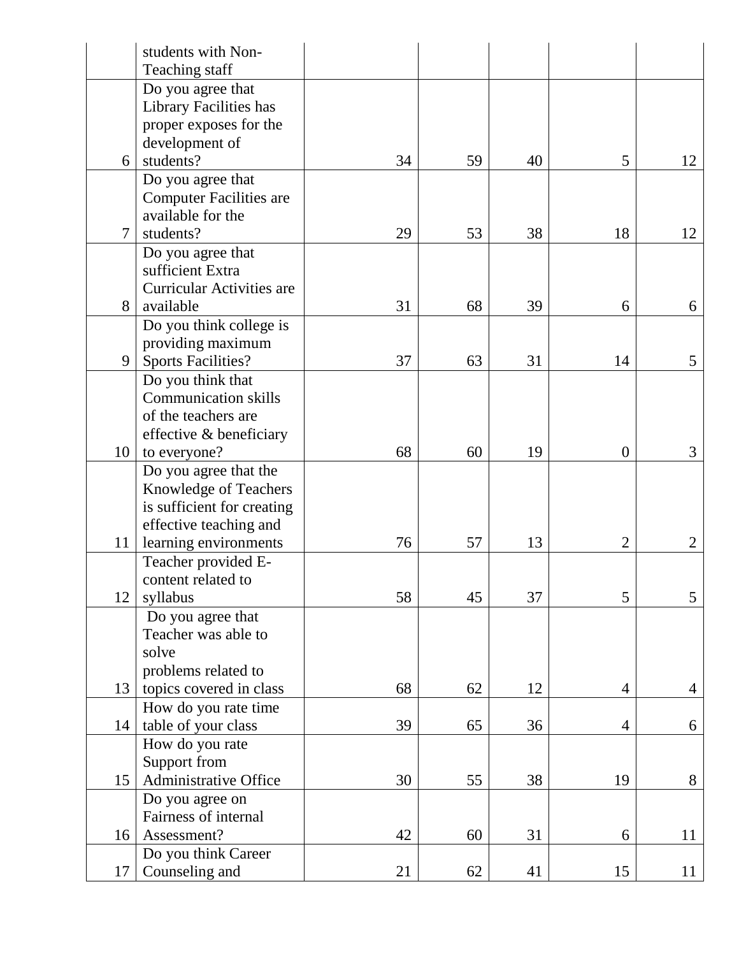|        | students with Non-               |    |    |    |                |                |
|--------|----------------------------------|----|----|----|----------------|----------------|
|        | Teaching staff                   |    |    |    |                |                |
|        | Do you agree that                |    |    |    |                |                |
|        | Library Facilities has           |    |    |    |                |                |
|        | proper exposes for the           |    |    |    |                |                |
|        | development of                   |    |    |    |                |                |
| 6      | students?                        | 34 | 59 | 40 | 5              | 12             |
|        | Do you agree that                |    |    |    |                |                |
|        | <b>Computer Facilities are</b>   |    |    |    |                |                |
|        | available for the                |    |    |    |                |                |
| $\tau$ | students?                        | 29 | 53 | 38 | 18             | 12             |
|        | Do you agree that                |    |    |    |                |                |
|        | sufficient Extra                 |    |    |    |                |                |
|        | <b>Curricular Activities are</b> |    |    |    |                |                |
| 8      | available                        | 31 | 68 | 39 | 6              | 6              |
|        | Do you think college is          |    |    |    |                |                |
|        | providing maximum                |    |    |    |                |                |
| 9      | <b>Sports Facilities?</b>        | 37 | 63 | 31 | 14             | 5              |
|        | Do you think that                |    |    |    |                |                |
|        | <b>Communication skills</b>      |    |    |    |                |                |
|        | of the teachers are              |    |    |    |                |                |
|        | effective & beneficiary          |    |    |    |                |                |
| 10     | to everyone?                     | 68 | 60 | 19 | $\theta$       | 3              |
|        | Do you agree that the            |    |    |    |                |                |
|        | <b>Knowledge of Teachers</b>     |    |    |    |                |                |
|        | is sufficient for creating       |    |    |    |                |                |
|        | effective teaching and           |    |    |    |                |                |
| 11     | learning environments            | 76 | 57 | 13 | $\overline{2}$ | $\overline{2}$ |
|        | Teacher provided E-              |    |    |    |                |                |
|        | content related to               |    |    |    |                |                |
| 12     | syllabus                         | 58 | 45 | 37 | 5              | 5              |
|        | Do you agree that                |    |    |    |                |                |
|        | Teacher was able to              |    |    |    |                |                |
|        | solve                            |    |    |    |                |                |
|        | problems related to              |    |    |    |                |                |
| 13     | topics covered in class          | 68 | 62 | 12 | $\overline{4}$ | 4              |
|        | How do you rate time             |    |    |    |                |                |
| 14     | table of your class              | 39 | 65 | 36 | $\overline{4}$ | 6              |
|        | How do you rate                  |    |    |    |                |                |
|        | Support from                     |    |    |    |                |                |
| 15     | Administrative Office            | 30 | 55 | 38 | 19             | 8              |
|        | Do you agree on                  |    |    |    |                |                |
|        | Fairness of internal             |    |    |    |                |                |
| 16     | Assessment?                      | 42 | 60 | 31 | 6              | 11             |
|        | Do you think Career              |    |    |    |                |                |
| 17     | Counseling and                   | 21 | 62 | 41 | 15             | 11             |
|        |                                  |    |    |    |                |                |